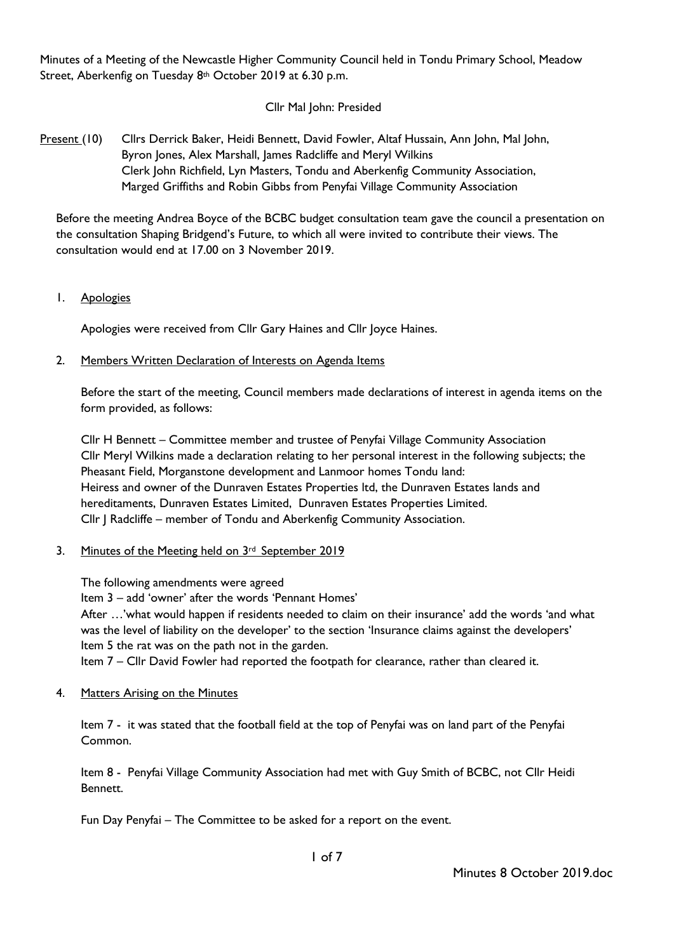Minutes of a Meeting of the Newcastle Higher Community Council held in Tondu Primary School, Meadow Street, Aberkenfig on Tuesday 8th October 2019 at 6.30 p.m.

# Cllr Mal John: Presided

Present (10) Cllrs Derrick Baker, Heidi Bennett, David Fowler, Altaf Hussain, Ann John, Mal John, Byron Jones, Alex Marshall, James Radcliffe and Meryl Wilkins Clerk John Richfield, Lyn Masters, Tondu and Aberkenfig Community Association, Marged Griffiths and Robin Gibbs from Penyfai Village Community Association

Before the meeting Andrea Boyce of the BCBC budget consultation team gave the council a presentation on the consultation Shaping Bridgend's Future, to which all were invited to contribute their views. The consultation would end at 17.00 on 3 November 2019.

1. Apologies

Apologies were received from Cllr Gary Haines and Cllr Joyce Haines.

2. Members Written Declaration of Interests on Agenda Items

Before the start of the meeting, Council members made declarations of interest in agenda items on the form provided, as follows:

Cllr H Bennett – Committee member and trustee of Penyfai Village Community Association Cllr Meryl Wilkins made a declaration relating to her personal interest in the following subjects; the Pheasant Field, Morganstone development and Lanmoor homes Tondu land: Heiress and owner of the Dunraven Estates Properties ltd, the Dunraven Estates lands and hereditaments, Dunraven Estates Limited, Dunraven Estates Properties Limited. Cllr J Radcliffe – member of Tondu and Aberkenfig Community Association.

3. Minutes of the Meeting held on 3rd September 2019

The following amendments were agreed

Item 3 – add 'owner' after the words 'Pennant Homes'

After …'what would happen if residents needed to claim on their insurance' add the words 'and what was the level of liability on the developer' to the section 'Insurance claims against the developers' Item 5 the rat was on the path not in the garden.

Item 7 – Cllr David Fowler had reported the footpath for clearance, rather than cleared it.

4. Matters Arising on the Minutes

Item 7 - it was stated that the football field at the top of Penyfai was on land part of the Penyfai Common.

Item 8 - Penyfai Village Community Association had met with Guy Smith of BCBC, not Cllr Heidi Bennett.

Fun Day Penyfai – The Committee to be asked for a report on the event.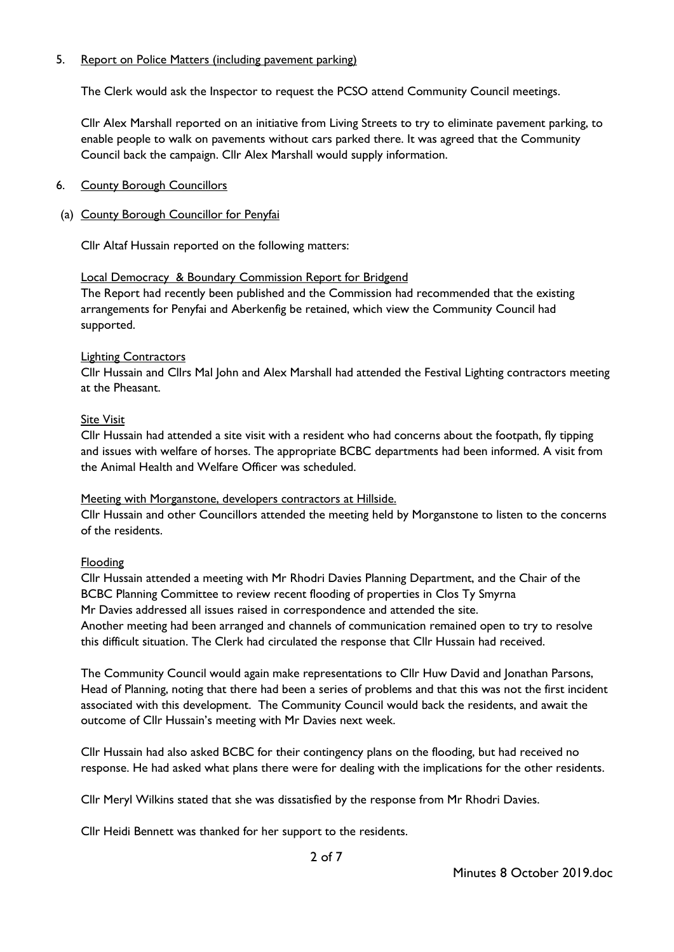# 5. Report on Police Matters (including pavement parking)

The Clerk would ask the Inspector to request the PCSO attend Community Council meetings.

Cllr Alex Marshall reported on an initiative from Living Streets to try to eliminate pavement parking, to enable people to walk on pavements without cars parked there. It was agreed that the Community Council back the campaign. Cllr Alex Marshall would supply information.

# 6. County Borough Councillors

# (a) County Borough Councillor for Penyfai

Cllr Altaf Hussain reported on the following matters:

## Local Democracy & Boundary Commission Report for Bridgend

The Report had recently been published and the Commission had recommended that the existing arrangements for Penyfai and Aberkenfig be retained, which view the Community Council had supported.

## Lighting Contractors

Cllr Hussain and Cllrs Mal John and Alex Marshall had attended the Festival Lighting contractors meeting at the Pheasant.

## Site Visit

Cllr Hussain had attended a site visit with a resident who had concerns about the footpath, fly tipping and issues with welfare of horses. The appropriate BCBC departments had been informed. A visit from the Animal Health and Welfare Officer was scheduled.

## Meeting with Morganstone, developers contractors at Hillside.

Cllr Hussain and other Councillors attended the meeting held by Morganstone to listen to the concerns of the residents.

## Flooding

Cllr Hussain attended a meeting with Mr Rhodri Davies Planning Department, and the Chair of the BCBC Planning Committee to review recent flooding of properties in Clos Ty Smyrna Mr Davies addressed all issues raised in correspondence and attended the site. Another meeting had been arranged and channels of communication remained open to try to resolve this difficult situation. The Clerk had circulated the response that Cllr Hussain had received.

The Community Council would again make representations to Cllr Huw David and Jonathan Parsons, Head of Planning, noting that there had been a series of problems and that this was not the first incident associated with this development. The Community Council would back the residents, and await the outcome of Cllr Hussain's meeting with Mr Davies next week.

Cllr Hussain had also asked BCBC for their contingency plans on the flooding, but had received no response. He had asked what plans there were for dealing with the implications for the other residents.

Cllr Meryl Wilkins stated that she was dissatisfied by the response from Mr Rhodri Davies.

Cllr Heidi Bennett was thanked for her support to the residents.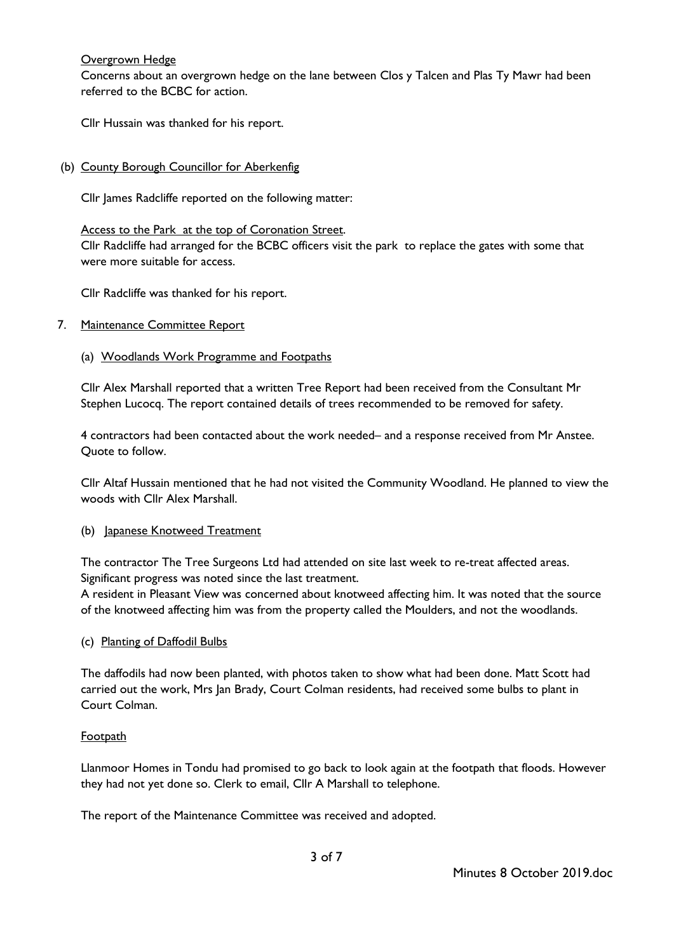# Overgrown Hedge

Concerns about an overgrown hedge on the lane between Clos y Talcen and Plas Ty Mawr had been referred to the BCBC for action.

Cllr Hussain was thanked for his report.

(b) County Borough Councillor for Aberkenfig

Cllr James Radcliffe reported on the following matter:

## Access to the Park at the top of Coronation Street.

Cllr Radcliffe had arranged for the BCBC officers visit the park to replace the gates with some that were more suitable for access.

Cllr Radcliffe was thanked for his report.

## 7. Maintenance Committee Report

### (a) Woodlands Work Programme and Footpaths

Cllr Alex Marshall reported that a written Tree Report had been received from the Consultant Mr Stephen Lucocq. The report contained details of trees recommended to be removed for safety.

4 contractors had been contacted about the work needed– and a response received from Mr Anstee. Quote to follow.

Cllr Altaf Hussain mentioned that he had not visited the Community Woodland. He planned to view the woods with Cllr Alex Marshall.

## (b) Japanese Knotweed Treatment

The contractor The Tree Surgeons Ltd had attended on site last week to re-treat affected areas. Significant progress was noted since the last treatment.

A resident in Pleasant View was concerned about knotweed affecting him. It was noted that the source of the knotweed affecting him was from the property called the Moulders, and not the woodlands.

## (c) Planting of Daffodil Bulbs

The daffodils had now been planted, with photos taken to show what had been done. Matt Scott had carried out the work, Mrs Jan Brady, Court Colman residents, had received some bulbs to plant in Court Colman.

## **Footpath**

Llanmoor Homes in Tondu had promised to go back to look again at the footpath that floods. However they had not yet done so. Clerk to email, Cllr A Marshall to telephone.

The report of the Maintenance Committee was received and adopted.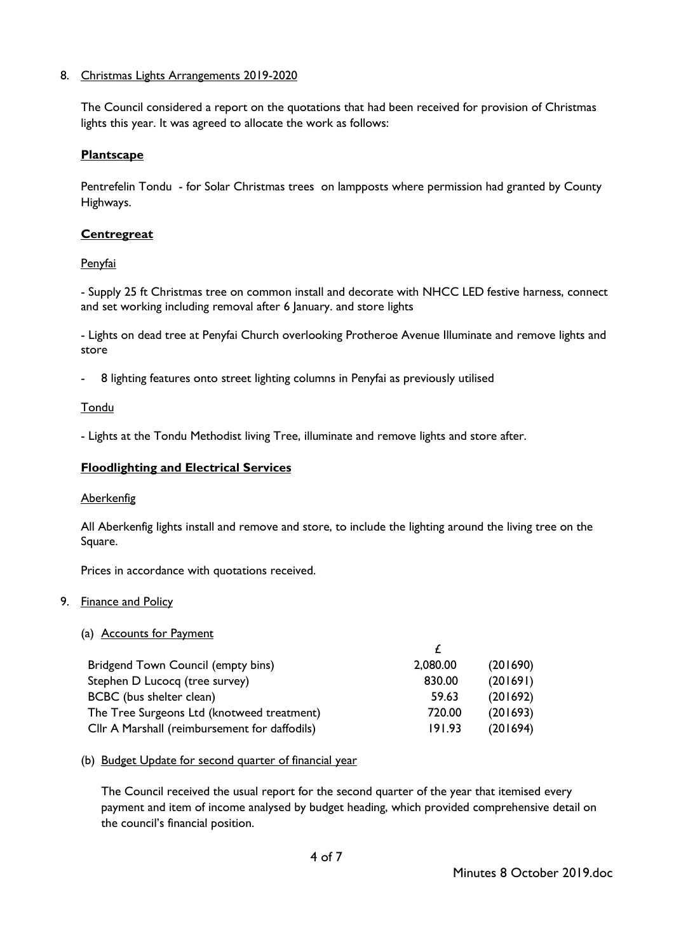# 8. Christmas Lights Arrangements 2019-2020

The Council considered a report on the quotations that had been received for provision of Christmas lights this year. It was agreed to allocate the work as follows:

## **Plantscape**

Pentrefelin Tondu - for Solar Christmas trees on lampposts where permission had granted by County Highways.

### **Centregreat**

### Penyfai

- Supply 25 ft Christmas tree on common install and decorate with NHCC LED festive harness, connect and set working including removal after 6 January. and store lights

- Lights on dead tree at Penyfai Church overlooking Protheroe Avenue Illuminate and remove lights and store

8 lighting features onto street lighting columns in Penyfai as previously utilised

### Tondu

- Lights at the Tondu Methodist living Tree, illuminate and remove lights and store after.

### **Floodlighting and Electrical Services**

#### Aberkenfig

All Aberkenfig lights install and remove and store, to include the lighting around the living tree on the Square.

Prices in accordance with quotations received.

## 9. Finance and Policy

#### (a) Accounts for Payment

| Bridgend Town Council (empty bins)            | 2,080.00 | (201690) |
|-----------------------------------------------|----------|----------|
| Stephen D Lucocq (tree survey)                | 830.00   | (201691) |
| BCBC (bus shelter clean)                      | 59.63    | (201692) |
| The Tree Surgeons Ltd (knotweed treatment)    | 720.00   | (201693) |
| Cllr A Marshall (reimbursement for daffodils) | 191.93   | (201694) |

#### (b) Budget Update for second quarter of financial year

The Council received the usual report for the second quarter of the year that itemised every payment and item of income analysed by budget heading, which provided comprehensive detail on the council's financial position.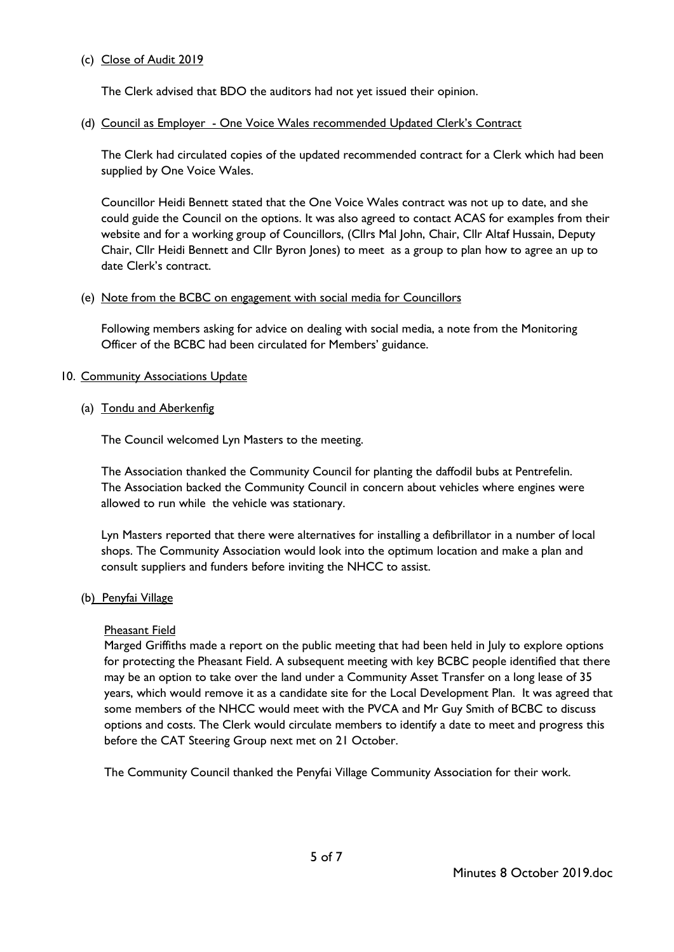## (c) Close of Audit 2019

The Clerk advised that BDO the auditors had not yet issued their opinion.

# (d) Council as Employer - One Voice Wales recommended Updated Clerk's Contract

The Clerk had circulated copies of the updated recommended contract for a Clerk which had been supplied by One Voice Wales.

Councillor Heidi Bennett stated that the One Voice Wales contract was not up to date, and she could guide the Council on the options. It was also agreed to contact ACAS for examples from their website and for a working group of Councillors, (Cllrs Mal John, Chair, Cllr Altaf Hussain, Deputy Chair, Cllr Heidi Bennett and Cllr Byron Jones) to meet as a group to plan how to agree an up to date Clerk's contract.

## (e) Note from the BCBC on engagement with social media for Councillors

Following members asking for advice on dealing with social media, a note from the Monitoring Officer of the BCBC had been circulated for Members' guidance.

## 10. Community Associations Update

## (a) Tondu and Aberkenfig

The Council welcomed Lyn Masters to the meeting.

The Association thanked the Community Council for planting the daffodil bubs at Pentrefelin. The Association backed the Community Council in concern about vehicles where engines were allowed to run while the vehicle was stationary.

Lyn Masters reported that there were alternatives for installing a defibrillator in a number of local shops. The Community Association would look into the optimum location and make a plan and consult suppliers and funders before inviting the NHCC to assist.

## (b) Penyfai Village

## Pheasant Field

Marged Griffiths made a report on the public meeting that had been held in July to explore options for protecting the Pheasant Field. A subsequent meeting with key BCBC people identified that there may be an option to take over the land under a Community Asset Transfer on a long lease of 35 years, which would remove it as a candidate site for the Local Development Plan. It was agreed that some members of the NHCC would meet with the PVCA and Mr Guy Smith of BCBC to discuss options and costs. The Clerk would circulate members to identify a date to meet and progress this before the CAT Steering Group next met on 21 October.

The Community Council thanked the Penyfai Village Community Association for their work.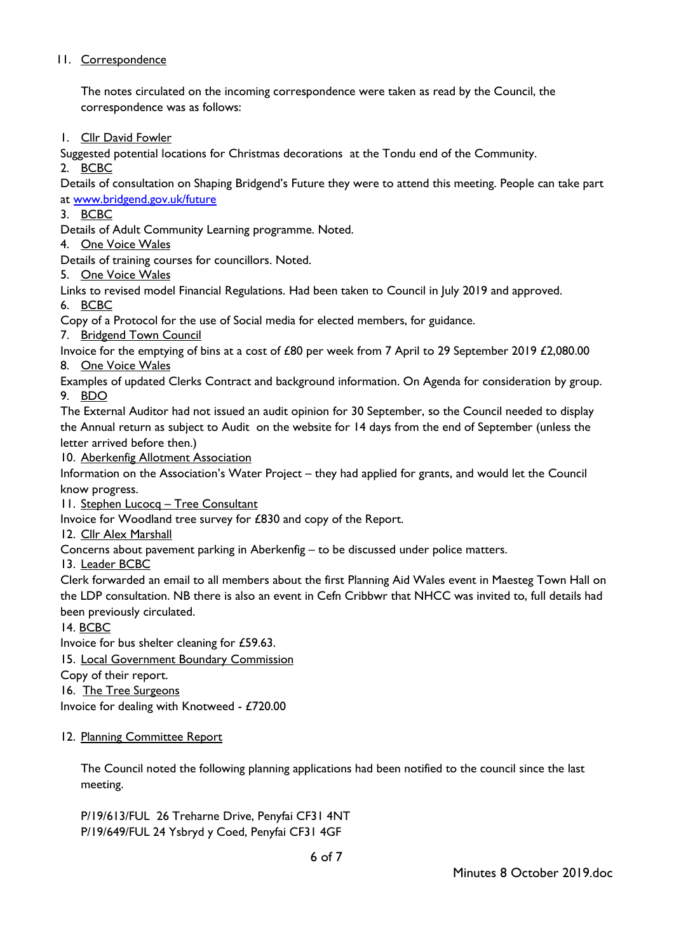# 11. Correspondence

The notes circulated on the incoming correspondence were taken as read by the Council, the correspondence was as follows:

1. Cllr David Fowler

Suggested potential locations for Christmas decorations at the Tondu end of the Community.

2. BCBC

Details of consultation on Shaping Bridgend's Future they were to attend this meeting. People can take part at [www.bridgend.gov.uk/future](http://www.bridgend.gov.uk/future)

3. BCBC

Details of Adult Community Learning programme. Noted.

4. One Voice Wales

Details of training courses for councillors. Noted.

5. One Voice Wales

Links to revised model Financial Regulations. Had been taken to Council in July 2019 and approved.

6. BCBC

Copy of a Protocol for the use of Social media for elected members, for guidance.

7. Bridgend Town Council

Invoice for the emptying of bins at a cost of £80 per week from 7 April to 29 September 2019 £2,080.00 8. One Voice Wales

Examples of updated Clerks Contract and background information. On Agenda for consideration by group. 9. BDO

The External Auditor had not issued an audit opinion for 30 September, so the Council needed to display the Annual return as subject to Audit on the website for 14 days from the end of September (unless the letter arrived before then.)

10. Aberkenfig Allotment Association

Information on the Association's Water Project – they had applied for grants, and would let the Council know progress.

11. Stephen Lucocq – Tree Consultant

Invoice for Woodland tree survey for £830 and copy of the Report.

12. Cllr Alex Marshall

Concerns about pavement parking in Aberkenfig – to be discussed under police matters.

13. Leader BCBC

Clerk forwarded an email to all members about the first Planning Aid Wales event in Maesteg Town Hall on the LDP consultation. NB there is also an event in Cefn Cribbwr that NHCC was invited to, full details had been previously circulated.

14. BCBC

Invoice for bus shelter cleaning for £59.63.

15. Local Government Boundary Commission

Copy of their report.

16. The Tree Surgeons

Invoice for dealing with Knotweed - £720.00

## 12. Planning Committee Report

The Council noted the following planning applications had been notified to the council since the last meeting.

P/19/613/FUL 26 Treharne Drive, Penyfai CF31 4NT P/19/649/FUL 24 Ysbryd y Coed, Penyfai CF31 4GF